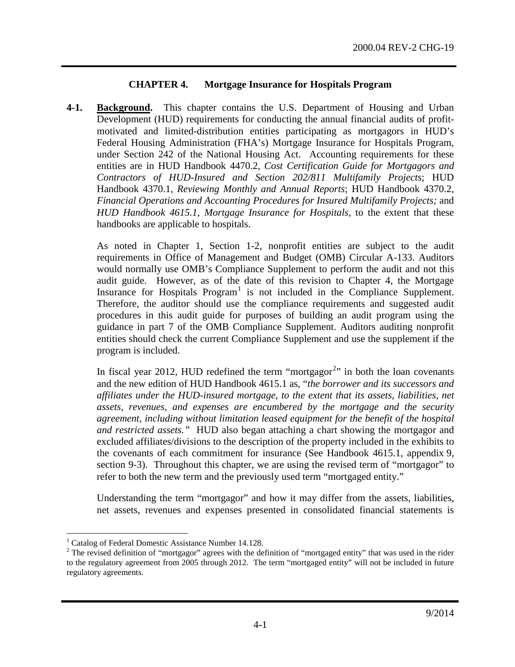### **CHAPTER 4. Mortgage Insurance for Hospitals Program**

**4-1. Background.** This chapter contains the U.S. Department of Housing and Urban Development (HUD) requirements for conducting the annual financial audits of profitmotivated and limited-distribution entities participating as mortgagors in HUD's Federal Housing Administration (FHA's) Mortgage Insurance for Hospitals Program, under Section 242 of the National Housing Act. Accounting requirements for these entities are in HUD Handbook 4470.2, *Cost Certification Guide for Mortgagors and Contractors of HUD-Insured and Section 202/811 Multifamily Projects*; HUD Handbook 4370.1, *Reviewing Monthly and Annual Reports*; HUD Handbook 4370.2, *Financial Operations and Accounting Procedures for Insured Multifamily Projects;* and *HUD Handbook 4615.1, Mortgage Insurance for Hospitals,* to the extent that these handbooks are applicable to hospitals.

As noted in Chapter 1, Section 1-2, nonprofit entities are subject to the audit requirements in Office of Management and Budget (OMB) Circular A-133. Auditors would normally use OMB's Compliance Supplement to perform the audit and not this audit guide. However, as of the date of this revision to Chapter 4, the Mortgage Insurance for Hospitals  $Program<sup>1</sup>$  $Program<sup>1</sup>$  $Program<sup>1</sup>$  is not included in the Compliance Supplement. Therefore, the auditor should use the compliance requirements and suggested audit procedures in this audit guide for purposes of building an audit program using the guidance in part 7 of the OMB Compliance Supplement. Auditors auditing nonprofit entities should check the current Compliance Supplement and use the supplement if the program is included.

In fiscal year [2](#page-0-1)012, HUD redefined the term "mortgagor<sup>2</sup>" in both the loan covenants and the new edition of HUD Handbook 4615.1 as, "*the borrower and its successors and affiliates under the HUD-insured mortgage, to the extent that its assets, liabilities, net assets, revenues, and expenses are encumbered by the mortgage and the security agreement, including without limitation leased equipment for the benefit of the hospital and restricted assets."* HUD also began attaching a chart showing the mortgagor and excluded affiliates/divisions to the description of the property included in the exhibits to the covenants of each commitment for insurance (See Handbook 4615.1, appendix 9, section 9-3). Throughout this chapter, we are using the revised term of "mortgagor" to refer to both the new term and the previously used term "mortgaged entity."

Understanding the term "mortgagor" and how it may differ from the assets, liabilities, net assets, revenues and expenses presented in consolidated financial statements is

<sup>&</sup>lt;sup>1</sup> Catalog of Federal Domestic Assistance Number 14.128.

<span id="page-0-1"></span><span id="page-0-0"></span><sup>&</sup>lt;sup>2</sup> The revised definition of "mortgagor" agrees with the definition of "mortgaged entity" that was used in the rider to the regulatory agreement from 2005 through 2012. The term "mortgaged entity" will not be included in future regulatory agreements.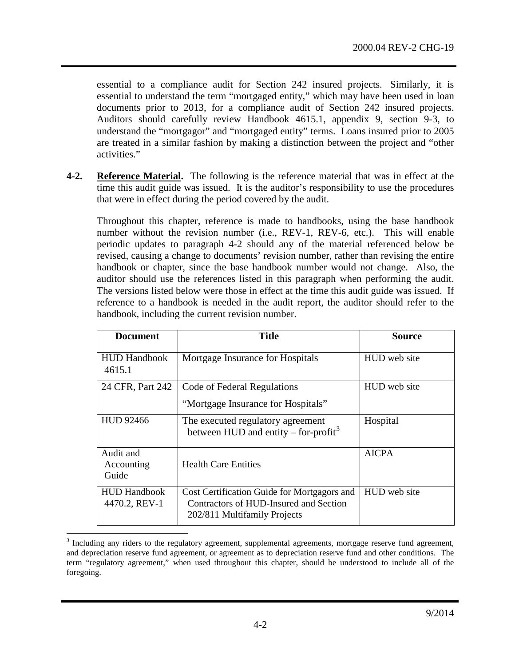essential to a compliance audit for Section 242 insured projects. Similarly, it is essential to understand the term "mortgaged entity," which may have been used in loan documents prior to 2013, for a compliance audit of Section 242 insured projects. Auditors should carefully review Handbook 4615.1, appendix 9, section 9-3, to understand the "mortgagor" and "mortgaged entity" terms. Loans insured prior to 2005 are treated in a similar fashion by making a distinction between the project and "other activities."

**4-2. Reference Material.** The following is the reference material that was in effect at the time this audit guide was issued. It is the auditor's responsibility to use the procedures that were in effect during the period covered by the audit.

Throughout this chapter, reference is made to handbooks, using the base handbook number without the revision number (i.e., REV-1, REV-6, etc.). This will enable periodic updates to paragraph 4-2 should any of the material referenced below be revised, causing a change to documents' revision number, rather than revising the entire handbook or chapter, since the base handbook number would not change. Also, the auditor should use the references listed in this paragraph when performing the audit. The versions listed below were those in effect at the time this audit guide was issued. If reference to a handbook is needed in the audit report, the auditor should refer to the handbook, including the current revision number.

<span id="page-1-1"></span>

| <b>Document</b>                      | <b>Title</b>                                                                                                          | Source       |
|--------------------------------------|-----------------------------------------------------------------------------------------------------------------------|--------------|
| <b>HUD Handbook</b><br>4615.1        | Mortgage Insurance for Hospitals                                                                                      | HUD web site |
| 24 CFR, Part 242                     | Code of Federal Regulations                                                                                           | HUD web site |
|                                      | "Mortgage Insurance for Hospitals"                                                                                    |              |
| <b>HUD 92466</b>                     | The executed regulatory agreement<br>between HUD and entity – for-profit <sup>3</sup>                                 | Hospital     |
| Audit and<br>Accounting<br>Guide     | <b>Health Care Entities</b>                                                                                           | <b>AICPA</b> |
| <b>HUD Handbook</b><br>4470.2, REV-1 | Cost Certification Guide for Mortgagors and<br>Contractors of HUD-Insured and Section<br>202/811 Multifamily Projects | HUD web site |

<span id="page-1-0"></span><sup>&</sup>lt;sup>3</sup> Including any riders to the regulatory agreement, supplemental agreements, mortgage reserve fund agreement, and depreciation reserve fund agreement, or agreement as to depreciation reserve fund and other conditions. The term "regulatory agreement," when used throughout this chapter, should be understood to include all of the foregoing.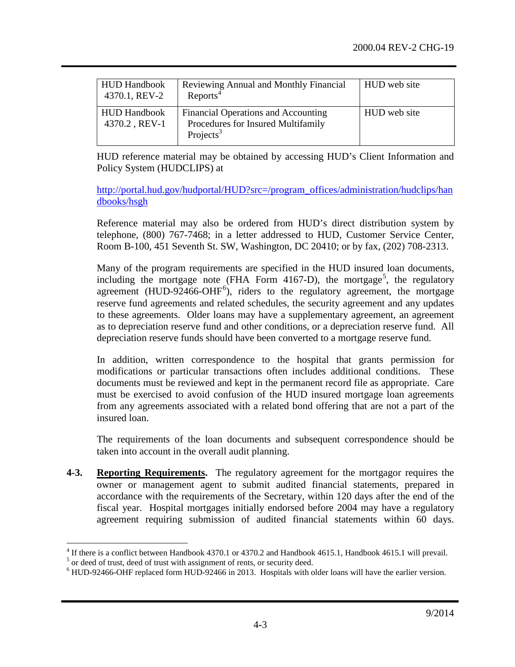| <b>HUD Handbook</b><br>4370.1, REV-2 | <b>Reviewing Annual and Monthly Financial</b><br>Reports <sup>4</sup>                              | <b>HUD</b> web site |
|--------------------------------------|----------------------------------------------------------------------------------------------------|---------------------|
| <b>HUD Handbook</b><br>4370.2, REV-1 | Financial Operations and Accounting<br>Procedures for Insured Multifamily<br>Projects <sup>3</sup> | HUD web site        |

HUD reference material may be obtained by accessing HUD's Client Information and Policy System (HUDCLIPS) at

[http://portal.hud.gov/hudportal/HUD?src=/program\\_offices/administration/hudclips/han](http://portal.hud.gov/hudportal/HUD?src=/program_offices/administration/hudclips/handbooks/hsgh) [dbooks/hsgh](http://portal.hud.gov/hudportal/HUD?src=/program_offices/administration/hudclips/handbooks/hsgh)

Reference material may also be ordered from HUD's direct distribution system by telephone, (800) 767-7468; in a letter addressed to HUD, Customer Service Center, Room B-100, 451 Seventh St. SW, Washington, DC 20410; or by fax, (202) 708-2313.

Many of the program requirements are specified in the HUD insured loan documents, including the mortgage note (FHA Form 4167-D), the mortgage<sup>[5](#page-2-1)</sup>, the regulatory agreement (HUD-924[6](#page-2-2)6-OHF<sup>6</sup>), riders to the regulatory agreement, the mortgage reserve fund agreements and related schedules, the security agreement and any updates to these agreements. Older loans may have a supplementary agreement, an agreement as to depreciation reserve fund and other conditions, or a depreciation reserve fund. All depreciation reserve funds should have been converted to a mortgage reserve fund.

In addition, written correspondence to the hospital that grants permission for modifications or particular transactions often includes additional conditions. These documents must be reviewed and kept in the permanent record file as appropriate. Care must be exercised to avoid confusion of the HUD insured mortgage loan agreements from any agreements associated with a related bond offering that are not a part of the insured loan.

The requirements of the loan documents and subsequent correspondence should be taken into account in the overall audit planning.

**4-3. Reporting Requirements.** The regulatory agreement for the mortgagor requires the owner or management agent to submit audited financial statements, prepared in accordance with the requirements of the Secretary, within 120 days after the end of the fiscal year. Hospital mortgages initially endorsed before 2004 may have a regulatory agreement requiring submission of audited financial statements within 60 days.

<span id="page-2-0"></span><sup>&</sup>lt;sup>4</sup> If there is a conflict between Handbook 4370.1 or 4370.2 and Handbook 4615.1, Handbook 4615.1 will prevail.<br><sup>5</sup> or deed of trust, deed of trust with assignment of rents, or security deed.

<span id="page-2-2"></span><span id="page-2-1"></span> $<sup>6</sup>$  HUD-92466-OHF replaced form HUD-92466 in 2013. Hospitals with older loans will have the earlier version.</sup>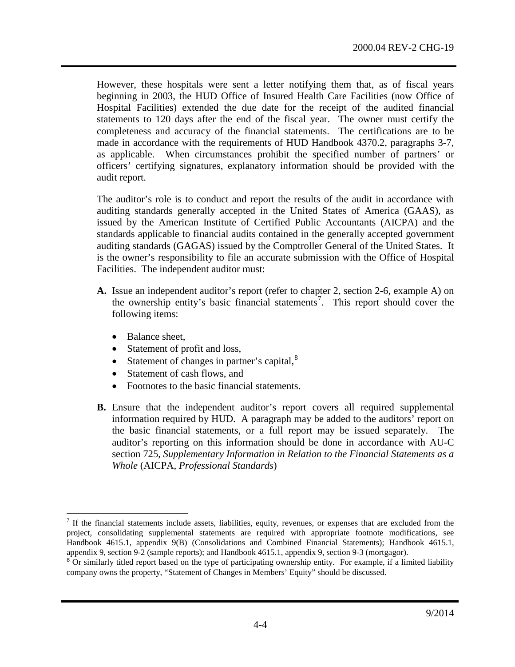However, these hospitals were sent a letter notifying them that, as of fiscal years beginning in 2003, the HUD Office of Insured Health Care Facilities (now Office of Hospital Facilities) extended the due date for the receipt of the audited financial statements to 120 days after the end of the fiscal year. The owner must certify the completeness and accuracy of the financial statements. The certifications are to be made in accordance with the requirements of HUD Handbook 4370.2, paragraphs 3-7, as applicable. When circumstances prohibit the specified number of partners' or officers' certifying signatures, explanatory information should be provided with the audit report.

The auditor's role is to conduct and report the results of the audit in accordance with auditing standards generally accepted in the United States of America (GAAS), as issued by the American Institute of Certified Public Accountants (AICPA) and the standards applicable to financial audits contained in the generally accepted government auditing standards (GAGAS) issued by the Comptroller General of the United States. It is the owner's responsibility to file an accurate submission with the Office of Hospital Facilities. The independent auditor must:

- **A.** Issue an independent auditor's report (refer to chapter 2, section 2-6, example A) on the ownership entity's basic financial statements<sup>[7](#page-3-0)</sup>. This report should cover the following items:
	- Balance sheet,
	- Statement of profit and loss,
	- Statement of changes in partner's capital, ${}^{8}$  ${}^{8}$  ${}^{8}$
	- Statement of cash flows, and
	- Footnotes to the basic financial statements.
- **B.** Ensure that the independent auditor's report covers all required supplemental information required by HUD. A paragraph may be added to the auditors' report on the basic financial statements, or a full report may be issued separately. The auditor's reporting on this information should be done in accordance with AU-C section 725, *Supplementary Information in Relation to the Financial Statements as a Whole* (AICPA, *Professional Standards*)

<span id="page-3-0"></span> $<sup>7</sup>$  If the financial statements include assets, liabilities, equity, revenues, or expenses that are excluded from the</sup> project, consolidating supplemental statements are required with appropriate footnote modifications, see Handbook 4615.1, appendix 9(B) (Consolidations and Combined Financial Statements); Handbook 4615.1, appendix 9, section 9-2 (sample reports); and Handbook 4615.1, appendix 9, section 9-3 (mortgagor).

<span id="page-3-1"></span> $8$  Or similarly titled report based on the type of participating ownership entity. For example, if a limited liability company owns the property, "Statement of Changes in Members' Equity" should be discussed.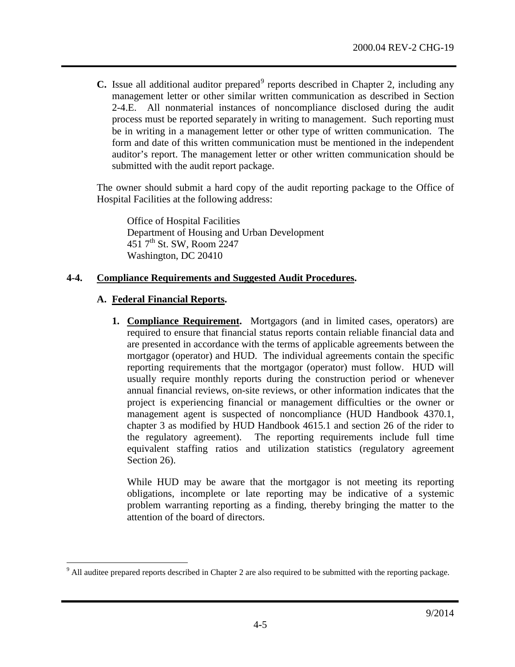**C.** Issue all additional auditor prepared<sup>[9](#page-4-0)</sup> reports described in Chapter 2, including any management letter or other similar written communication as described in Section 2-4.E. All nonmaterial instances of noncompliance disclosed during the audit process must be reported separately in writing to management. Such reporting must be in writing in a management letter or other type of written communication. The form and date of this written communication must be mentioned in the independent auditor's report. The management letter or other written communication should be submitted with the audit report package.

The owner should submit a hard copy of the audit reporting package to the Office of Hospital Facilities at the following address:

Office of Hospital Facilities Department of Housing and Urban Development 451  $7<sup>th</sup>$  St. SW, Room 2247 Washington, DC 20410

### **4-4. Compliance Requirements and Suggested Audit Procedures.**

### **A. Federal Financial Reports.**

**1. Compliance Requirement.** Mortgagors (and in limited cases, operators) are required to ensure that financial status reports contain reliable financial data and are presented in accordance with the terms of applicable agreements between the mortgagor (operator) and HUD. The individual agreements contain the specific reporting requirements that the mortgagor (operator) must follow. HUD will usually require monthly reports during the construction period or whenever annual financial reviews, on-site reviews, or other information indicates that the project is experiencing financial or management difficulties or the owner or management agent is suspected of noncompliance (HUD Handbook 4370.1, chapter 3 as modified by HUD Handbook 4615.1 and section 26 of the rider to the regulatory agreement). The reporting requirements include full time equivalent staffing ratios and utilization statistics (regulatory agreement Section 26).

While HUD may be aware that the mortgagor is not meeting its reporting obligations, incomplete or late reporting may be indicative of a systemic problem warranting reporting as a finding, thereby bringing the matter to the attention of the board of directors.

<span id="page-4-0"></span><sup>&</sup>lt;sup>9</sup> All auditee prepared reports described in Chapter 2 are also required to be submitted with the reporting package.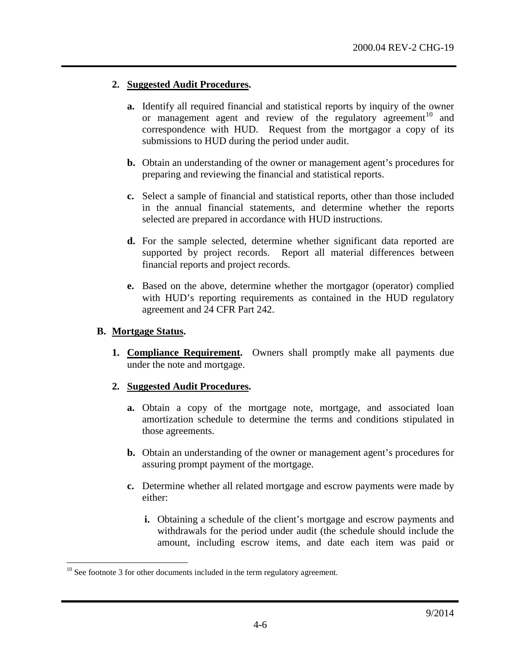#### **2. Suggested Audit Procedures.**

- **a.** Identify all required financial and statistical reports by inquiry of the owner or management agent and review of the regulatory agreement<sup>[10](#page-5-0)</sup> and correspondence with HUD. Request from the mortgagor a copy of its submissions to HUD during the period under audit.
- **b.** Obtain an understanding of the owner or management agent's procedures for preparing and reviewing the financial and statistical reports.
- **c.** Select a sample of financial and statistical reports, other than those included in the annual financial statements, and determine whether the reports selected are prepared in accordance with HUD instructions.
- **d.** For the sample selected, determine whether significant data reported are supported by project records. Report all material differences between financial reports and project records.
- **e.** Based on the above, determine whether the mortgagor (operator) complied with HUD's reporting requirements as contained in the HUD regulatory agreement and 24 CFR Part 242.

#### **B. Mortgage Status.**

**1. Compliance Requirement.** Owners shall promptly make all payments due under the note and mortgage.

- **a.** Obtain a copy of the mortgage note, mortgage, and associated loan amortization schedule to determine the terms and conditions stipulated in those agreements.
- **b.** Obtain an understanding of the owner or management agent's procedures for assuring prompt payment of the mortgage.
- **c.** Determine whether all related mortgage and escrow payments were made by either:
	- **i.** Obtaining a schedule of the client's mortgage and escrow payments and withdrawals for the period under audit (the schedule should include the amount, including escrow items, and date each item was paid or

<span id="page-5-0"></span> $10$  See footnote [3](#page-1-1) for other documents included in the term regulatory agreement.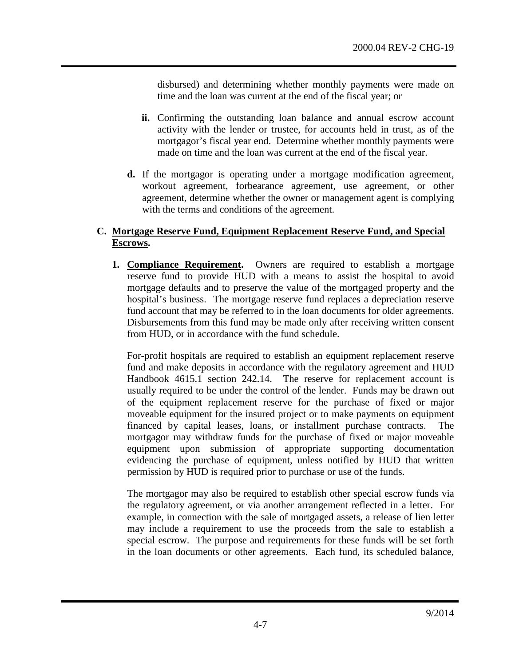disbursed) and determining whether monthly payments were made on time and the loan was current at the end of the fiscal year; or

- **ii.** Confirming the outstanding loan balance and annual escrow account activity with the lender or trustee, for accounts held in trust, as of the mortgagor's fiscal year end. Determine whether monthly payments were made on time and the loan was current at the end of the fiscal year.
- **d.** If the mortgagor is operating under a mortgage modification agreement, workout agreement, forbearance agreement, use agreement, or other agreement, determine whether the owner or management agent is complying with the terms and conditions of the agreement.

## **C. Mortgage Reserve Fund, Equipment Replacement Reserve Fund, and Special Escrows.**

**1. Compliance Requirement.** Owners are required to establish a mortgage reserve fund to provide HUD with a means to assist the hospital to avoid mortgage defaults and to preserve the value of the mortgaged property and the hospital's business. The mortgage reserve fund replaces a depreciation reserve fund account that may be referred to in the loan documents for older agreements. Disbursements from this fund may be made only after receiving written consent from HUD, or in accordance with the fund schedule.

For-profit hospitals are required to establish an equipment replacement reserve fund and make deposits in accordance with the regulatory agreement and HUD Handbook 4615.1 section 242.14. The reserve for replacement account is usually required to be under the control of the lender. Funds may be drawn out of the equipment replacement reserve for the purchase of fixed or major moveable equipment for the insured project or to make payments on equipment financed by capital leases, loans, or installment purchase contracts. The mortgagor may withdraw funds for the purchase of fixed or major moveable equipment upon submission of appropriate supporting documentation evidencing the purchase of equipment, unless notified by HUD that written permission by HUD is required prior to purchase or use of the funds.

The mortgagor may also be required to establish other special escrow funds via the regulatory agreement, or via another arrangement reflected in a letter. For example, in connection with the sale of mortgaged assets, a release of lien letter may include a requirement to use the proceeds from the sale to establish a special escrow. The purpose and requirements for these funds will be set forth in the loan documents or other agreements. Each fund, its scheduled balance,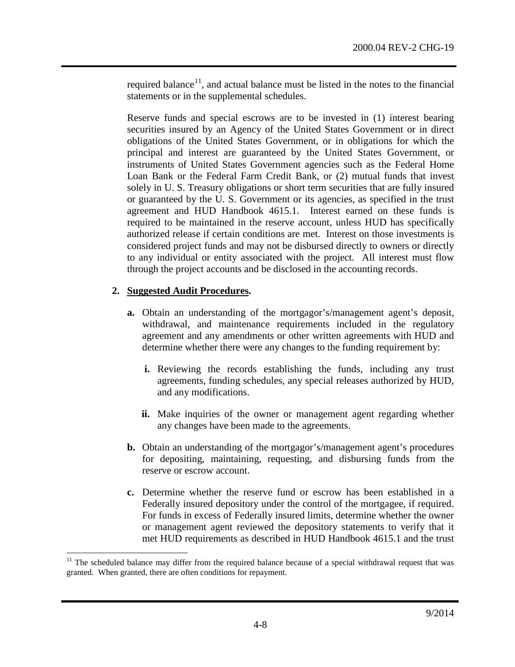required balance $11$ , and actual balance must be listed in the notes to the financial statements or in the supplemental schedules.

Reserve funds and special escrows are to be invested in (1) interest bearing securities insured by an Agency of the United States Government or in direct obligations of the United States Government, or in obligations for which the principal and interest are guaranteed by the United States Government, or instruments of United States Government agencies such as the Federal Home Loan Bank or the Federal Farm Credit Bank, or (2) mutual funds that invest solely in U. S. Treasury obligations or short term securities that are fully insured or guaranteed by the U. S. Government or its agencies, as specified in the trust agreement and HUD Handbook 4615.1. Interest earned on these funds is required to be maintained in the reserve account, unless HUD has specifically authorized release if certain conditions are met. Interest on those investments is considered project funds and may not be disbursed directly to owners or directly to any individual or entity associated with the project. All interest must flow through the project accounts and be disclosed in the accounting records.

- **a.** Obtain an understanding of the mortgagor's/management agent's deposit, withdrawal, and maintenance requirements included in the regulatory agreement and any amendments or other written agreements with HUD and determine whether there were any changes to the funding requirement by:
	- **i.** Reviewing the records establishing the funds, including any trust agreements, funding schedules, any special releases authorized by HUD, and any modifications.
	- **ii.** Make inquiries of the owner or management agent regarding whether any changes have been made to the agreements.
- **b.** Obtain an understanding of the mortgagor's/management agent's procedures for depositing, maintaining, requesting, and disbursing funds from the reserve or escrow account.
- **c.** Determine whether the reserve fund or escrow has been established in a Federally insured depository under the control of the mortgagee, if required. For funds in excess of Federally insured limits, determine whether the owner or management agent reviewed the depository statements to verify that it met HUD requirements as described in HUD Handbook 4615.1 and the trust

<span id="page-7-0"></span> $11$  The scheduled balance may differ from the required balance because of a special withdrawal request that was granted. When granted, there are often conditions for repayment.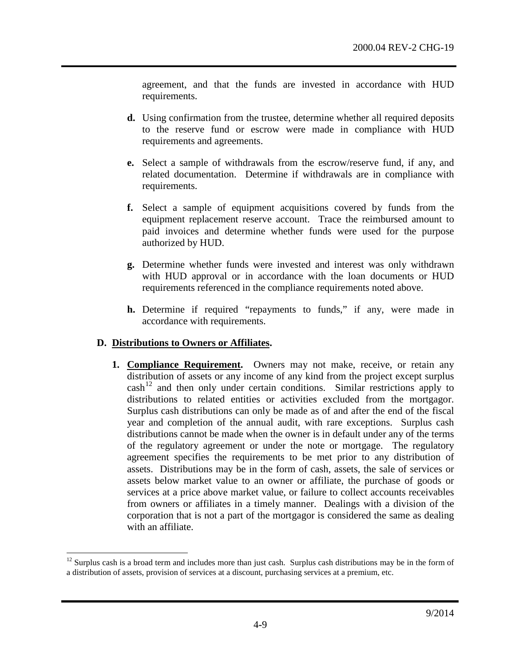agreement, and that the funds are invested in accordance with HUD requirements.

- **d.** Using confirmation from the trustee, determine whether all required deposits to the reserve fund or escrow were made in compliance with HUD requirements and agreements.
- **e.** Select a sample of withdrawals from the escrow/reserve fund, if any, and related documentation. Determine if withdrawals are in compliance with requirements.
- **f.** Select a sample of equipment acquisitions covered by funds from the equipment replacement reserve account. Trace the reimbursed amount to paid invoices and determine whether funds were used for the purpose authorized by HUD.
- **g.** Determine whether funds were invested and interest was only withdrawn with HUD approval or in accordance with the loan documents or HUD requirements referenced in the compliance requirements noted above.
- **h.** Determine if required "repayments to funds," if any, were made in accordance with requirements.

### **D. Distributions to Owners or Affiliates.**

**1. Compliance Requirement.** Owners may not make, receive, or retain any distribution of assets or any income of any kind from the project except surplus cash<sup>[12](#page-8-0)</sup> and then only under certain conditions. Similar restrictions apply to distributions to related entities or activities excluded from the mortgagor. Surplus cash distributions can only be made as of and after the end of the fiscal year and completion of the annual audit, with rare exceptions. Surplus cash distributions cannot be made when the owner is in default under any of the terms of the regulatory agreement or under the note or mortgage. The regulatory agreement specifies the requirements to be met prior to any distribution of assets. Distributions may be in the form of cash, assets, the sale of services or assets below market value to an owner or affiliate, the purchase of goods or services at a price above market value, or failure to collect accounts receivables from owners or affiliates in a timely manner. Dealings with a division of the corporation that is not a part of the mortgagor is considered the same as dealing with an affiliate.

<span id="page-8-0"></span> $12$  Surplus cash is a broad term and includes more than just cash. Surplus cash distributions may be in the form of a distribution of assets, provision of services at a discount, purchasing services at a premium, etc.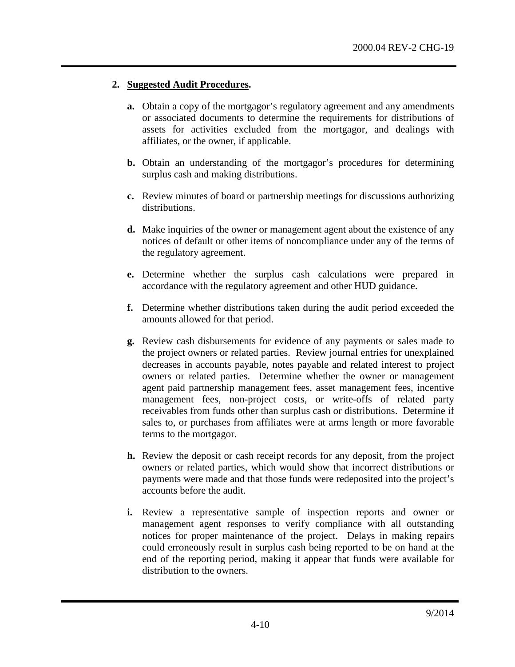- **a.** Obtain a copy of the mortgagor's regulatory agreement and any amendments or associated documents to determine the requirements for distributions of assets for activities excluded from the mortgagor, and dealings with affiliates, or the owner, if applicable.
- **b.** Obtain an understanding of the mortgagor's procedures for determining surplus cash and making distributions.
- **c.** Review minutes of board or partnership meetings for discussions authorizing distributions.
- **d.** Make inquiries of the owner or management agent about the existence of any notices of default or other items of noncompliance under any of the terms of the regulatory agreement.
- **e.** Determine whether the surplus cash calculations were prepared in accordance with the regulatory agreement and other HUD guidance.
- **f.** Determine whether distributions taken during the audit period exceeded the amounts allowed for that period.
- **g.** Review cash disbursements for evidence of any payments or sales made to the project owners or related parties. Review journal entries for unexplained decreases in accounts payable, notes payable and related interest to project owners or related parties. Determine whether the owner or management agent paid partnership management fees, asset management fees, incentive management fees, non-project costs, or write-offs of related party receivables from funds other than surplus cash or distributions. Determine if sales to, or purchases from affiliates were at arms length or more favorable terms to the mortgagor.
- **h.** Review the deposit or cash receipt records for any deposit, from the project owners or related parties, which would show that incorrect distributions or payments were made and that those funds were redeposited into the project's accounts before the audit.
- **i.** Review a representative sample of inspection reports and owner or management agent responses to verify compliance with all outstanding notices for proper maintenance of the project. Delays in making repairs could erroneously result in surplus cash being reported to be on hand at the end of the reporting period, making it appear that funds were available for distribution to the owners.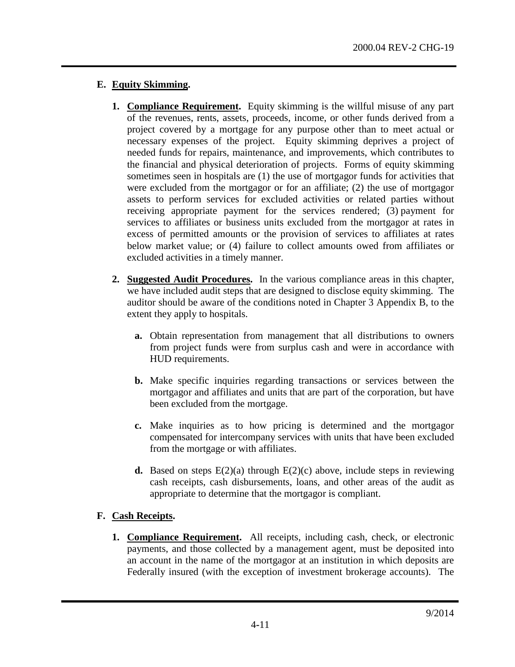## **E. Equity Skimming.**

- **1. Compliance Requirement.** Equity skimming is the willful misuse of any part of the revenues, rents, assets, proceeds, income, or other funds derived from a project covered by a mortgage for any purpose other than to meet actual or necessary expenses of the project. Equity skimming deprives a project of needed funds for repairs, maintenance, and improvements, which contributes to the financial and physical deterioration of projects. Forms of equity skimming sometimes seen in hospitals are (1) the use of mortgagor funds for activities that were excluded from the mortgagor or for an affiliate; (2) the use of mortgagor assets to perform services for excluded activities or related parties without receiving appropriate payment for the services rendered; (3) payment for services to affiliates or business units excluded from the mortgagor at rates in excess of permitted amounts or the provision of services to affiliates at rates below market value; or (4) failure to collect amounts owed from affiliates or excluded activities in a timely manner.
- **2. Suggested Audit Procedures.** In the various compliance areas in this chapter, we have included audit steps that are designed to disclose equity skimming. The auditor should be aware of the conditions noted in Chapter 3 Appendix B, to the extent they apply to hospitals.
	- **a.** Obtain representation from management that all distributions to owners from project funds were from surplus cash and were in accordance with HUD requirements.
	- **b.** Make specific inquiries regarding transactions or services between the mortgagor and affiliates and units that are part of the corporation, but have been excluded from the mortgage.
	- **c.** Make inquiries as to how pricing is determined and the mortgagor compensated for intercompany services with units that have been excluded from the mortgage or with affiliates.
	- **d.** Based on steps  $E(2)(a)$  through  $E(2)(c)$  above, include steps in reviewing cash receipts, cash disbursements, loans, and other areas of the audit as appropriate to determine that the mortgagor is compliant.

# **F. Cash Receipts.**

**1. Compliance Requirement.** All receipts, including cash, check, or electronic payments, and those collected by a management agent, must be deposited into an account in the name of the mortgagor at an institution in which deposits are Federally insured (with the exception of investment brokerage accounts). The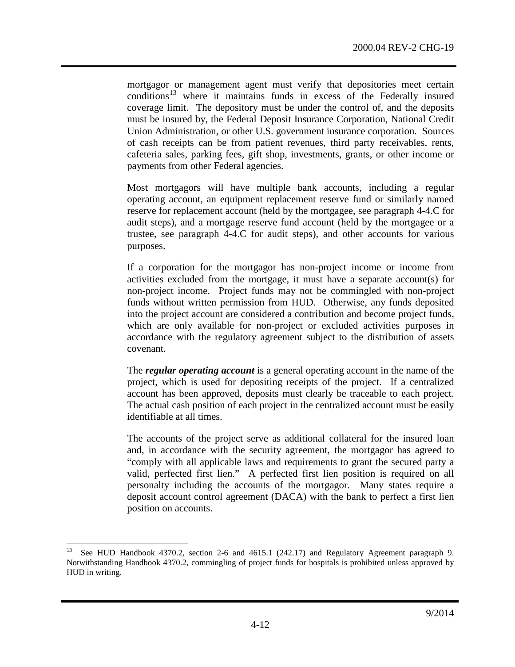<span id="page-11-1"></span>mortgagor or management agent must verify that depositories meet certain conditions<sup>[13](#page-11-0)</sup> where it maintains funds in excess of the Federally insured coverage limit. The depository must be under the control of, and the deposits must be insured by, the Federal Deposit Insurance Corporation, National Credit Union Administration, or other U.S. government insurance corporation. Sources of cash receipts can be from patient revenues, third party receivables, rents, cafeteria sales, parking fees, gift shop, investments, grants, or other income or payments from other Federal agencies.

Most mortgagors will have multiple bank accounts, including a regular operating account, an equipment replacement reserve fund or similarly named reserve for replacement account (held by the mortgagee, see paragraph 4-4.C for audit steps), and a mortgage reserve fund account (held by the mortgagee or a trustee, see paragraph 4-4.C for audit steps), and other accounts for various purposes.

If a corporation for the mortgagor has non-project income or income from activities excluded from the mortgage, it must have a separate account(s) for non-project income. Project funds may not be commingled with non-project funds without written permission from HUD. Otherwise, any funds deposited into the project account are considered a contribution and become project funds, which are only available for non-project or excluded activities purposes in accordance with the regulatory agreement subject to the distribution of assets covenant.

The *regular operating account* is a general operating account in the name of the project, which is used for depositing receipts of the project. If a centralized account has been approved, deposits must clearly be traceable to each project. The actual cash position of each project in the centralized account must be easily identifiable at all times.

The accounts of the project serve as additional collateral for the insured loan and, in accordance with the security agreement, the mortgagor has agreed to "comply with all applicable laws and requirements to grant the secured party a valid, perfected first lien." A perfected first lien position is required on all personalty including the accounts of the mortgagor. Many states require a deposit account control agreement (DACA) with the bank to perfect a first lien position on accounts.

<span id="page-11-0"></span> <sup>13</sup> See HUD Handbook 4370.2, section 2-6 and 4615.1 (242.17) and Regulatory Agreement paragraph 9. Notwithstanding Handbook 4370.2, commingling of project funds for hospitals is prohibited unless approved by HUD in writing.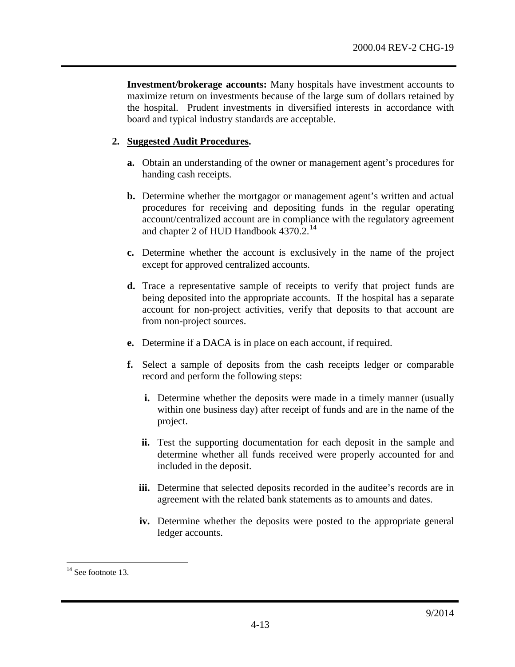**Investment/brokerage accounts:** Many hospitals have investment accounts to maximize return on investments because of the large sum of dollars retained by the hospital. Prudent investments in diversified interests in accordance with board and typical industry standards are acceptable.

- **a.** Obtain an understanding of the owner or management agent's procedures for handing cash receipts.
- **b.** Determine whether the mortgagor or management agent's written and actual procedures for receiving and depositing funds in the regular operating account/centralized account are in compliance with the regulatory agreement and chapter 2 of HUD Handbook 4370.2.<sup>[14](#page-12-0)</sup>
- **c.** Determine whether the account is exclusively in the name of the project except for approved centralized accounts.
- **d.** Trace a representative sample of receipts to verify that project funds are being deposited into the appropriate accounts. If the hospital has a separate account for non-project activities, verify that deposits to that account are from non-project sources.
- **e.** Determine if a DACA is in place on each account, if required.
- **f.** Select a sample of deposits from the cash receipts ledger or comparable record and perform the following steps:
	- **i.** Determine whether the deposits were made in a timely manner (usually within one business day) after receipt of funds and are in the name of the project.
	- **ii.** Test the supporting documentation for each deposit in the sample and determine whether all funds received were properly accounted for and included in the deposit.
	- **iii.** Determine that selected deposits recorded in the auditee's records are in agreement with the related bank statements as to amounts and dates.
	- **iv.** Determine whether the deposits were posted to the appropriate general ledger accounts.

<span id="page-12-0"></span> $14$  See footnote [13.](#page-11-1)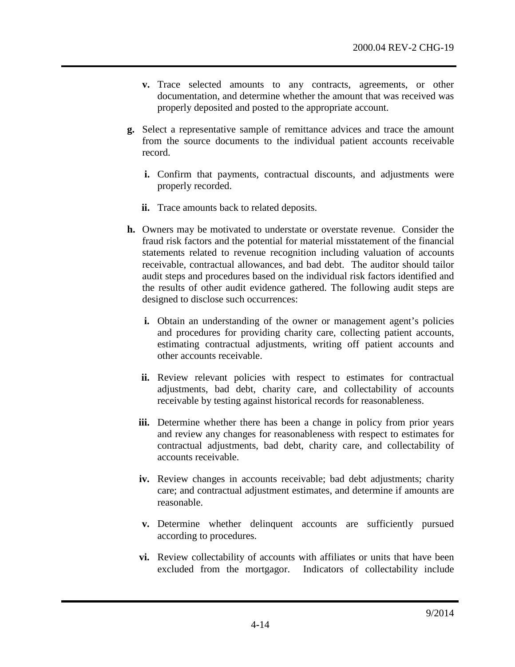- **v.** Trace selected amounts to any contracts, agreements, or other documentation, and determine whether the amount that was received was properly deposited and posted to the appropriate account.
- **g.** Select a representative sample of remittance advices and trace the amount from the source documents to the individual patient accounts receivable record.
	- **i.** Confirm that payments, contractual discounts, and adjustments were properly recorded.
	- **ii.** Trace amounts back to related deposits.
- **h.** Owners may be motivated to understate or overstate revenue. Consider the fraud risk factors and the potential for material misstatement of the financial statements related to revenue recognition including valuation of accounts receivable, contractual allowances, and bad debt. The auditor should tailor audit steps and procedures based on the individual risk factors identified and the results of other audit evidence gathered. The following audit steps are designed to disclose such occurrences:
	- **i.** Obtain an understanding of the owner or management agent's policies and procedures for providing charity care, collecting patient accounts, estimating contractual adjustments, writing off patient accounts and other accounts receivable.
	- ii. Review relevant policies with respect to estimates for contractual adjustments, bad debt, charity care, and collectability of accounts receivable by testing against historical records for reasonableness.
	- **iii.** Determine whether there has been a change in policy from prior years and review any changes for reasonableness with respect to estimates for contractual adjustments, bad debt, charity care, and collectability of accounts receivable.
	- **iv.** Review changes in accounts receivable; bad debt adjustments; charity care; and contractual adjustment estimates, and determine if amounts are reasonable.
	- **v.** Determine whether delinquent accounts are sufficiently pursued according to procedures.
	- **vi.** Review collectability of accounts with affiliates or units that have been excluded from the mortgagor. Indicators of collectability include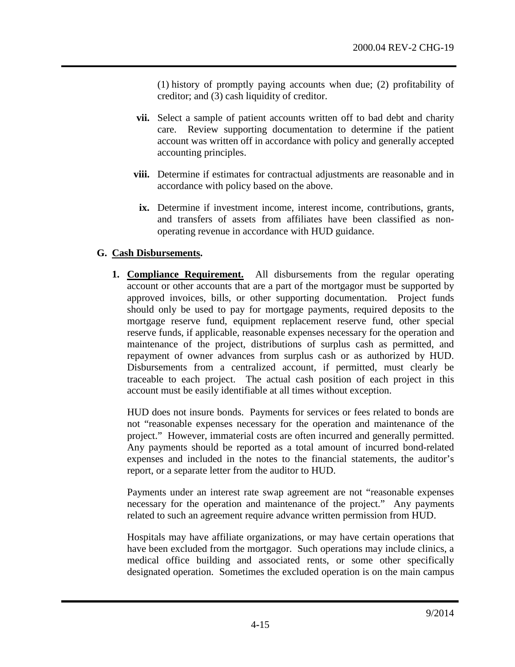(1) history of promptly paying accounts when due; (2) profitability of creditor; and (3) cash liquidity of creditor.

- **vii.** Select a sample of patient accounts written off to bad debt and charity care. Review supporting documentation to determine if the patient account was written off in accordance with policy and generally accepted accounting principles.
- **viii.** Determine if estimates for contractual adjustments are reasonable and in accordance with policy based on the above.
- **ix.** Determine if investment income, interest income, contributions, grants, and transfers of assets from affiliates have been classified as nonoperating revenue in accordance with HUD guidance.

### **G. Cash Disbursements.**

**1. Compliance Requirement.** All disbursements from the regular operating account or other accounts that are a part of the mortgagor must be supported by approved invoices, bills, or other supporting documentation. Project funds should only be used to pay for mortgage payments, required deposits to the mortgage reserve fund, equipment replacement reserve fund, other special reserve funds, if applicable, reasonable expenses necessary for the operation and maintenance of the project, distributions of surplus cash as permitted, and repayment of owner advances from surplus cash or as authorized by HUD. Disbursements from a centralized account, if permitted, must clearly be traceable to each project. The actual cash position of each project in this account must be easily identifiable at all times without exception.

HUD does not insure bonds. Payments for services or fees related to bonds are not "reasonable expenses necessary for the operation and maintenance of the project." However, immaterial costs are often incurred and generally permitted. Any payments should be reported as a total amount of incurred bond-related expenses and included in the notes to the financial statements, the auditor's report, or a separate letter from the auditor to HUD.

Payments under an interest rate swap agreement are not "reasonable expenses necessary for the operation and maintenance of the project." Any payments related to such an agreement require advance written permission from HUD.

Hospitals may have affiliate organizations, or may have certain operations that have been excluded from the mortgagor. Such operations may include clinics, a medical office building and associated rents, or some other specifically designated operation. Sometimes the excluded operation is on the main campus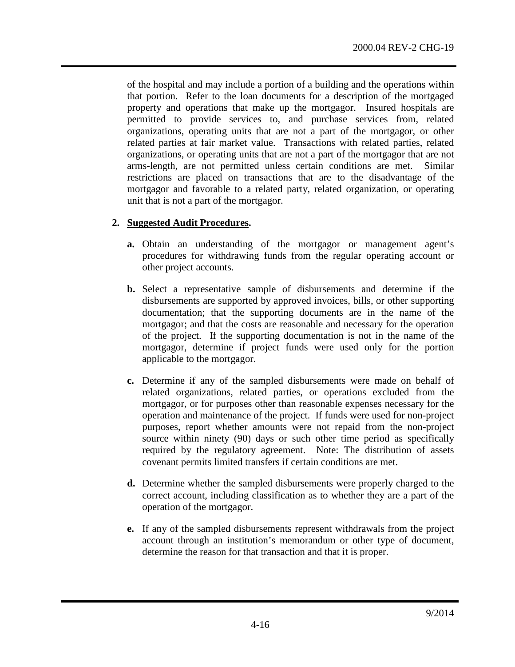of the hospital and may include a portion of a building and the operations within that portion. Refer to the loan documents for a description of the mortgaged property and operations that make up the mortgagor. Insured hospitals are permitted to provide services to, and purchase services from, related organizations, operating units that are not a part of the mortgagor, or other related parties at fair market value. Transactions with related parties, related organizations, or operating units that are not a part of the mortgagor that are not arms-length, are not permitted unless certain conditions are met. Similar restrictions are placed on transactions that are to the disadvantage of the mortgagor and favorable to a related party, related organization, or operating unit that is not a part of the mortgagor.

- **a.** Obtain an understanding of the mortgagor or management agent's procedures for withdrawing funds from the regular operating account or other project accounts.
- **b.** Select a representative sample of disbursements and determine if the disbursements are supported by approved invoices, bills, or other supporting documentation; that the supporting documents are in the name of the mortgagor; and that the costs are reasonable and necessary for the operation of the project. If the supporting documentation is not in the name of the mortgagor, determine if project funds were used only for the portion applicable to the mortgagor.
- **c.** Determine if any of the sampled disbursements were made on behalf of related organizations, related parties, or operations excluded from the mortgagor, or for purposes other than reasonable expenses necessary for the operation and maintenance of the project. If funds were used for non-project purposes, report whether amounts were not repaid from the non-project source within ninety (90) days or such other time period as specifically required by the regulatory agreement. Note: The distribution of assets covenant permits limited transfers if certain conditions are met.
- **d.** Determine whether the sampled disbursements were properly charged to the correct account, including classification as to whether they are a part of the operation of the mortgagor.
- **e.** If any of the sampled disbursements represent withdrawals from the project account through an institution's memorandum or other type of document, determine the reason for that transaction and that it is proper.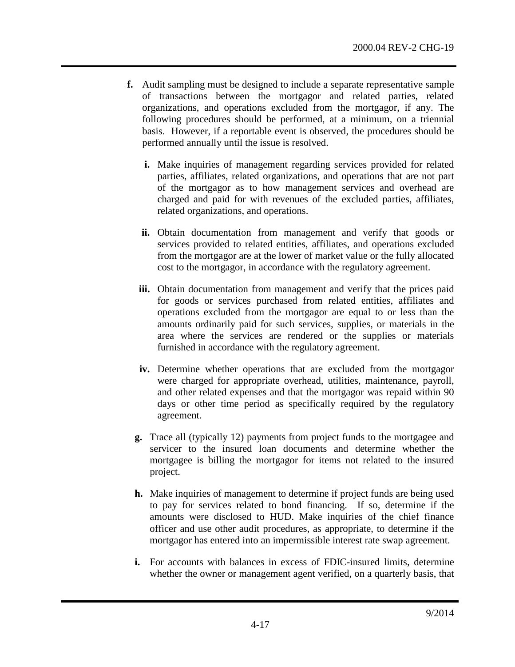- **f.** Audit sampling must be designed to include a separate representative sample of transactions between the mortgagor and related parties, related organizations, and operations excluded from the mortgagor, if any. The following procedures should be performed, at a minimum, on a triennial basis. However, if a reportable event is observed, the procedures should be performed annually until the issue is resolved.
	- **i.** Make inquiries of management regarding services provided for related parties, affiliates, related organizations, and operations that are not part of the mortgagor as to how management services and overhead are charged and paid for with revenues of the excluded parties, affiliates, related organizations, and operations.
	- **ii.** Obtain documentation from management and verify that goods or services provided to related entities, affiliates, and operations excluded from the mortgagor are at the lower of market value or the fully allocated cost to the mortgagor, in accordance with the regulatory agreement.
	- **iii.** Obtain documentation from management and verify that the prices paid for goods or services purchased from related entities, affiliates and operations excluded from the mortgagor are equal to or less than the amounts ordinarily paid for such services, supplies, or materials in the area where the services are rendered or the supplies or materials furnished in accordance with the regulatory agreement.
	- **iv.** Determine whether operations that are excluded from the mortgagor were charged for appropriate overhead, utilities, maintenance, payroll, and other related expenses and that the mortgagor was repaid within 90 days or other time period as specifically required by the regulatory agreement.
	- **g.** Trace all (typically 12) payments from project funds to the mortgagee and servicer to the insured loan documents and determine whether the mortgagee is billing the mortgagor for items not related to the insured project.
	- **h.** Make inquiries of management to determine if project funds are being used to pay for services related to bond financing. If so, determine if the amounts were disclosed to HUD. Make inquiries of the chief finance officer and use other audit procedures, as appropriate, to determine if the mortgagor has entered into an impermissible interest rate swap agreement.
	- **i.** For accounts with balances in excess of FDIC-insured limits, determine whether the owner or management agent verified, on a quarterly basis, that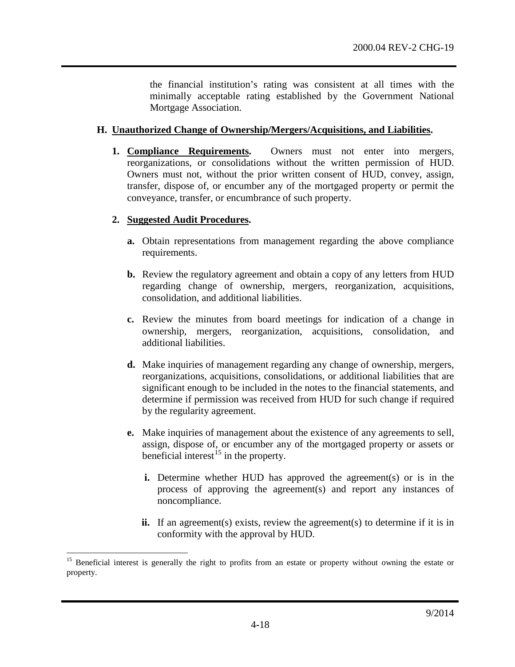the financial institution's rating was consistent at all times with the minimally acceptable rating established by the Government National Mortgage Association.

#### **H. Unauthorized Change of Ownership/Mergers/Acquisitions, and Liabilities.**

**1. Compliance Requirements.** Owners must not enter into mergers, reorganizations, or consolidations without the written permission of HUD. Owners must not, without the prior written consent of HUD, convey, assign, transfer, dispose of, or encumber any of the mortgaged property or permit the conveyance, transfer, or encumbrance of such property.

- **a.** Obtain representations from management regarding the above compliance requirements.
- **b.** Review the regulatory agreement and obtain a copy of any letters from HUD regarding change of ownership, mergers, reorganization, acquisitions, consolidation, and additional liabilities.
- **c.** Review the minutes from board meetings for indication of a change in ownership, mergers, reorganization, acquisitions, consolidation, and additional liabilities.
- **d.** Make inquiries of management regarding any change of ownership, mergers, reorganizations, acquisitions, consolidations, or additional liabilities that are significant enough to be included in the notes to the financial statements, and determine if permission was received from HUD for such change if required by the regularity agreement.
- **e.** Make inquiries of management about the existence of any agreements to sell, assign, dispose of, or encumber any of the mortgaged property or assets or beneficial interest<sup>[15](#page-17-0)</sup> in the property.
	- **i.** Determine whether HUD has approved the agreement(s) or is in the process of approving the agreement(s) and report any instances of noncompliance.
	- **ii.** If an agreement(s) exists, review the agreement(s) to determine if it is in conformity with the approval by HUD.

<span id="page-17-0"></span><sup>&</sup>lt;sup>15</sup> Beneficial interest is generally the right to profits from an estate or property without owning the estate or property.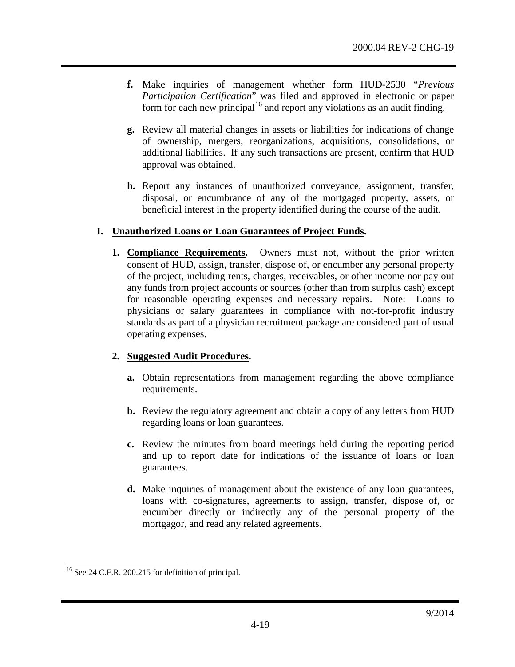- **f.** Make inquiries of management whether form HUD-2530 "*Previous Participation Certification*" was filed and approved in electronic or paper form for each new principal<sup>[16](#page-18-0)</sup> and report any violations as an audit finding.
- **g.** Review all material changes in assets or liabilities for indications of change of ownership, mergers, reorganizations, acquisitions, consolidations, or additional liabilities. If any such transactions are present, confirm that HUD approval was obtained.
- **h.** Report any instances of unauthorized conveyance, assignment, transfer, disposal, or encumbrance of any of the mortgaged property, assets, or beneficial interest in the property identified during the course of the audit.

## **I. Unauthorized Loans or Loan Guarantees of Project Funds.**

**1. Compliance Requirements.** Owners must not, without the prior written consent of HUD, assign, transfer, dispose of, or encumber any personal property of the project, including rents, charges, receivables, or other income nor pay out any funds from project accounts or sources (other than from surplus cash) except for reasonable operating expenses and necessary repairs. Note: Loans to physicians or salary guarantees in compliance with not-for-profit industry standards as part of a physician recruitment package are considered part of usual operating expenses.

- **a.** Obtain representations from management regarding the above compliance requirements.
- **b.** Review the regulatory agreement and obtain a copy of any letters from HUD regarding loans or loan guarantees.
- **c.** Review the minutes from board meetings held during the reporting period and up to report date for indications of the issuance of loans or loan guarantees.
- **d.** Make inquiries of management about the existence of any loan guarantees, loans with co-signatures, agreements to assign, transfer, dispose of, or encumber directly or indirectly any of the personal property of the mortgagor, and read any related agreements.

<span id="page-18-0"></span><sup>&</sup>lt;sup>16</sup> See 24 C.F.R. 200.215 for definition of principal.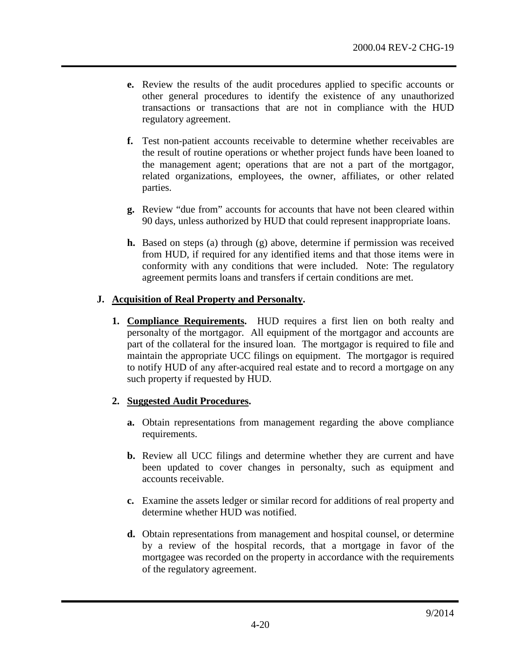- **e.** Review the results of the audit procedures applied to specific accounts or other general procedures to identify the existence of any unauthorized transactions or transactions that are not in compliance with the HUD regulatory agreement.
- **f.** Test non-patient accounts receivable to determine whether receivables are the result of routine operations or whether project funds have been loaned to the management agent; operations that are not a part of the mortgagor, related organizations, employees, the owner, affiliates, or other related parties.
- **g.** Review "due from" accounts for accounts that have not been cleared within 90 days, unless authorized by HUD that could represent inappropriate loans.
- **h.** Based on steps (a) through (g) above, determine if permission was received from HUD, if required for any identified items and that those items were in conformity with any conditions that were included. Note: The regulatory agreement permits loans and transfers if certain conditions are met.

### **J. Acquisition of Real Property and Personalty.**

**1. Compliance Requirements.** HUD requires a first lien on both realty and personalty of the mortgagor. All equipment of the mortgagor and accounts are part of the collateral for the insured loan. The mortgagor is required to file and maintain the appropriate UCC filings on equipment. The mortgagor is required to notify HUD of any after-acquired real estate and to record a mortgage on any such property if requested by HUD.

- **a.** Obtain representations from management regarding the above compliance requirements.
- **b.** Review all UCC filings and determine whether they are current and have been updated to cover changes in personalty, such as equipment and accounts receivable.
- **c.** Examine the assets ledger or similar record for additions of real property and determine whether HUD was notified.
- **d.** Obtain representations from management and hospital counsel, or determine by a review of the hospital records, that a mortgage in favor of the mortgagee was recorded on the property in accordance with the requirements of the regulatory agreement.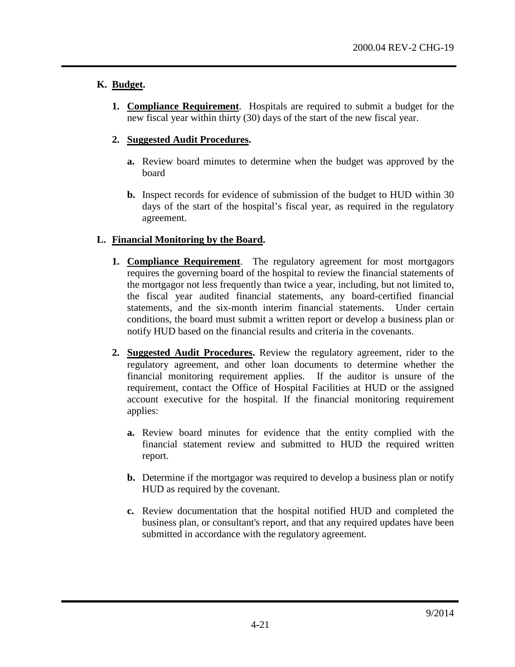## **K. Budget.**

**1. Compliance Requirement**. Hospitals are required to submit a budget for the new fiscal year within thirty (30) days of the start of the new fiscal year.

## **2. Suggested Audit Procedures.**

- **a.** Review board minutes to determine when the budget was approved by the board
- **b.** Inspect records for evidence of submission of the budget to HUD within 30 days of the start of the hospital's fiscal year, as required in the regulatory agreement.

## **L. Financial Monitoring by the Board.**

- **1. Compliance Requirement**. The regulatory agreement for most mortgagors requires the governing board of the hospital to review the financial statements of the mortgagor not less frequently than twice a year, including, but not limited to, the fiscal year audited financial statements, any board-certified financial statements, and the six-month interim financial statements. Under certain conditions, the board must submit a written report or develop a business plan or notify HUD based on the financial results and criteria in the covenants.
- **2. Suggested Audit Procedures.** Review the regulatory agreement, rider to the regulatory agreement, and other loan documents to determine whether the financial monitoring requirement applies. If the auditor is unsure of the requirement, contact the Office of Hospital Facilities at HUD or the assigned account executive for the hospital. If the financial monitoring requirement applies:
	- **a.** Review board minutes for evidence that the entity complied with the financial statement review and submitted to HUD the required written report.
	- **b.** Determine if the mortgagor was required to develop a business plan or notify HUD as required by the covenant.
	- **c.** Review documentation that the hospital notified HUD and completed the business plan, or consultant's report, and that any required updates have been submitted in accordance with the regulatory agreement.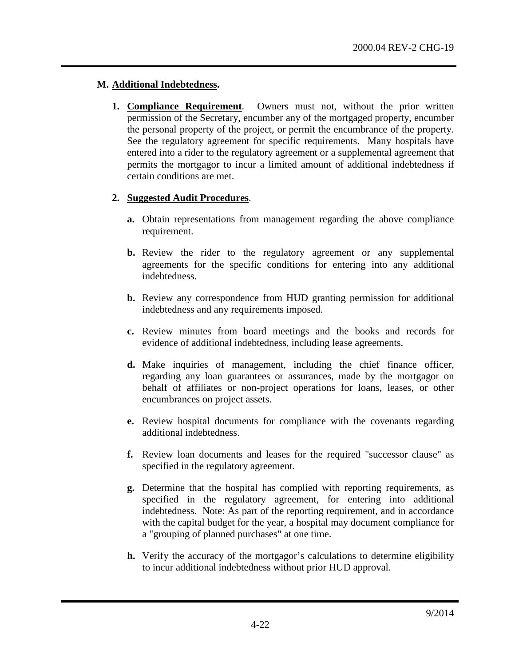#### **M. Additional Indebtedness.**

**1. Compliance Requirement**. Owners must not, without the prior written permission of the Secretary, encumber any of the mortgaged property, encumber the personal property of the project, or permit the encumbrance of the property. See the regulatory agreement for specific requirements. Many hospitals have entered into a rider to the regulatory agreement or a supplemental agreement that permits the mortgagor to incur a limited amount of additional indebtedness if certain conditions are met.

- **a.** Obtain representations from management regarding the above compliance requirement.
- **b.** Review the rider to the regulatory agreement or any supplemental agreements for the specific conditions for entering into any additional indebtedness.
- **b.** Review any correspondence from HUD granting permission for additional indebtedness and any requirements imposed.
- **c.** Review minutes from board meetings and the books and records for evidence of additional indebtedness, including lease agreements.
- **d.** Make inquiries of management, including the chief finance officer, regarding any loan guarantees or assurances, made by the mortgagor on behalf of affiliates or non-project operations for loans, leases, or other encumbrances on project assets.
- **e.** Review hospital documents for compliance with the covenants regarding additional indebtedness.
- **f.** Review loan documents and leases for the required "successor clause" as specified in the regulatory agreement.
- **g.** Determine that the hospital has complied with reporting requirements, as specified in the regulatory agreement, for entering into additional indebtedness. Note: As part of the reporting requirement, and in accordance with the capital budget for the year, a hospital may document compliance for a "grouping of planned purchases" at one time.
- **h.** Verify the accuracy of the mortgagor's calculations to determine eligibility to incur additional indebtedness without prior HUD approval.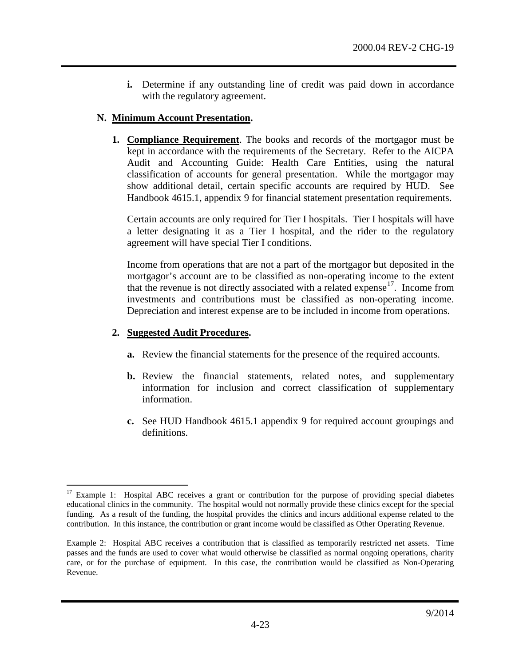**i.** Determine if any outstanding line of credit was paid down in accordance with the regulatory agreement.

#### **N. Minimum Account Presentation.**

**1. Compliance Requirement**. The books and records of the mortgagor must be kept in accordance with the requirements of the Secretary. Refer to the AICPA Audit and Accounting Guide: Health Care Entities, using the natural classification of accounts for general presentation. While the mortgagor may show additional detail, certain specific accounts are required by HUD. See Handbook 4615.1, appendix 9 for financial statement presentation requirements.

Certain accounts are only required for Tier I hospitals. Tier I hospitals will have a letter designating it as a Tier I hospital, and the rider to the regulatory agreement will have special Tier I conditions.

Income from operations that are not a part of the mortgagor but deposited in the mortgagor's account are to be classified as non-operating income to the extent that the revenue is not directly associated with a related expense<sup>17</sup>. Income from investments and contributions must be classified as non-operating income. Depreciation and interest expense are to be included in income from operations.

- **a.** Review the financial statements for the presence of the required accounts.
- **b.** Review the financial statements, related notes, and supplementary information for inclusion and correct classification of supplementary information.
- **c.** See HUD Handbook 4615.1 appendix 9 for required account groupings and definitions.

<span id="page-22-0"></span><sup>&</sup>lt;sup>17</sup> Example 1: Hospital ABC receives a grant or contribution for the purpose of providing special diabetes educational clinics in the community. The hospital would not normally provide these clinics except for the special funding. As a result of the funding, the hospital provides the clinics and incurs additional expense related to the contribution. In this instance, the contribution or grant income would be classified as Other Operating Revenue.

Example 2: Hospital ABC receives a contribution that is classified as temporarily restricted net assets. Time passes and the funds are used to cover what would otherwise be classified as normal ongoing operations, charity care, or for the purchase of equipment. In this case, the contribution would be classified as Non-Operating Revenue.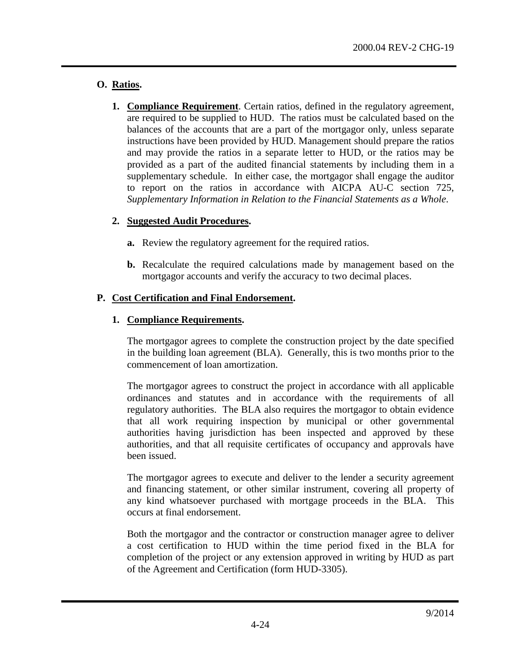## **O. Ratios.**

**1. Compliance Requirement**. Certain ratios, defined in the regulatory agreement, are required to be supplied to HUD. The ratios must be calculated based on the balances of the accounts that are a part of the mortgagor only, unless separate instructions have been provided by HUD. Management should prepare the ratios and may provide the ratios in a separate letter to HUD, or the ratios may be provided as a part of the audited financial statements by including them in a supplementary schedule. In either case, the mortgagor shall engage the auditor to report on the ratios in accordance with AICPA AU-C section 725, *Supplementary Information in Relation to the Financial Statements as a Whole*.

## **2. Suggested Audit Procedures.**

- **a.** Review the regulatory agreement for the required ratios.
- **b.** Recalculate the required calculations made by management based on the mortgagor accounts and verify the accuracy to two decimal places.

## **P. Cost Certification and Final Endorsement.**

## **1. Compliance Requirements.**

The mortgagor agrees to complete the construction project by the date specified in the building loan agreement (BLA). Generally, this is two months prior to the commencement of loan amortization.

The mortgagor agrees to construct the project in accordance with all applicable ordinances and statutes and in accordance with the requirements of all regulatory authorities. The BLA also requires the mortgagor to obtain evidence that all work requiring inspection by municipal or other governmental authorities having jurisdiction has been inspected and approved by these authorities, and that all requisite certificates of occupancy and approvals have been issued.

The mortgagor agrees to execute and deliver to the lender a security agreement and financing statement, or other similar instrument, covering all property of any kind whatsoever purchased with mortgage proceeds in the BLA. This occurs at final endorsement.

Both the mortgagor and the contractor or construction manager agree to deliver a cost certification to HUD within the time period fixed in the BLA for completion of the project or any extension approved in writing by HUD as part of the Agreement and Certification (form HUD-3305).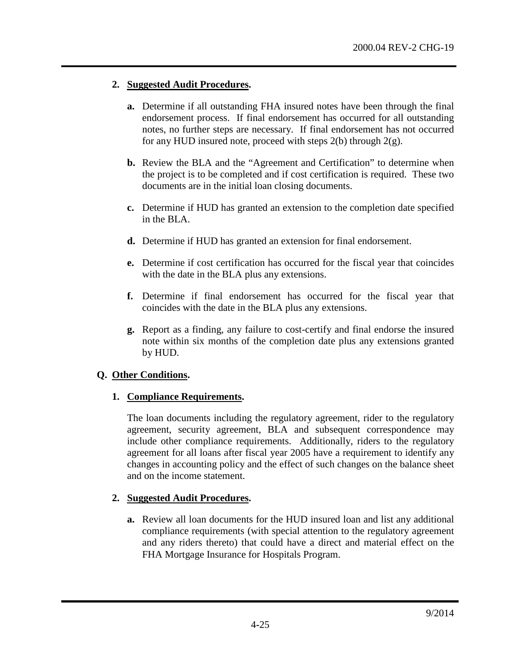#### **2. Suggested Audit Procedures.**

- **a.** Determine if all outstanding FHA insured notes have been through the final endorsement process. If final endorsement has occurred for all outstanding notes, no further steps are necessary. If final endorsement has not occurred for any HUD insured note, proceed with steps  $2(b)$  through  $2(g)$ .
- **b.** Review the BLA and the "Agreement and Certification" to determine when the project is to be completed and if cost certification is required. These two documents are in the initial loan closing documents.
- **c.** Determine if HUD has granted an extension to the completion date specified in the BLA.
- **d.** Determine if HUD has granted an extension for final endorsement.
- **e.** Determine if cost certification has occurred for the fiscal year that coincides with the date in the BLA plus any extensions.
- **f.** Determine if final endorsement has occurred for the fiscal year that coincides with the date in the BLA plus any extensions.
- **g.** Report as a finding, any failure to cost-certify and final endorse the insured note within six months of the completion date plus any extensions granted by HUD.

### **Q. Other Conditions.**

### **1. Compliance Requirements.**

The loan documents including the regulatory agreement, rider to the regulatory agreement, security agreement, BLA and subsequent correspondence may include other compliance requirements. Additionally, riders to the regulatory agreement for all loans after fiscal year 2005 have a requirement to identify any changes in accounting policy and the effect of such changes on the balance sheet and on the income statement.

### **2. Suggested Audit Procedures.**

**a.** Review all loan documents for the HUD insured loan and list any additional compliance requirements (with special attention to the regulatory agreement and any riders thereto) that could have a direct and material effect on the FHA Mortgage Insurance for Hospitals Program.